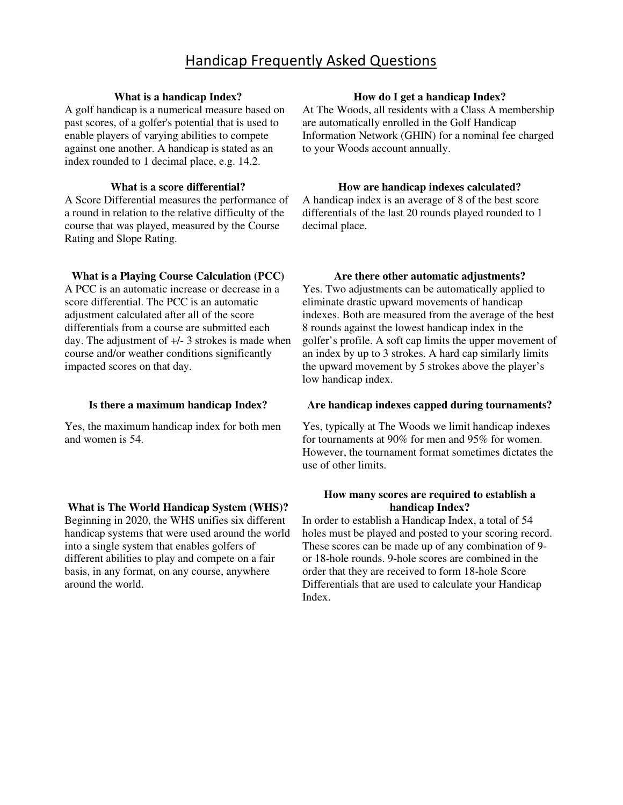# Handicap Frequently Asked Questions

A golf handicap is a numerical measure based on past scores, of a golfer's potential that is used to enable players of varying abilities to compete against one another. A handicap is stated as an index rounded to 1 decimal place, e.g. 14.2.

A Score Differential measures the performance of a round in relation to the relative difficulty of the course that was played, measured by the Course Rating and Slope Rating.

## What is a Playing Course Calculation (PCC) **Are there other automatic adjustments?**

A PCC is an automatic increase or decrease in a score differential. The PCC is an automatic adjustment calculated after all of the score differentials from a course are submitted each day. The adjustment of +/- 3 strokes is made when course and/or weather conditions significantly impacted scores on that day.

Yes, the maximum handicap index for both men and women is 54.

# **What is The World Handicap System (WHS)?**

Beginning in 2020, the WHS unifies six different handicap systems that were used around the world into a single system that enables golfers of different abilities to play and compete on a fair basis, in any format, on any course, anywhere around the world.

# What is a handicap Index? **How do I get a handicap Index?**

At The Woods, all residents with a Class A membership are automatically enrolled in the Golf Handicap Information Network (GHIN) for a nominal fee charged to your Woods account annually.

# **What is a score differential? How are handicap indexes calculated?**

A handicap index is an average of 8 of the best score differentials of the last 20 rounds played rounded to 1 decimal place.

Yes. Two adjustments can be automatically applied to eliminate drastic upward movements of handicap indexes. Both are measured from the average of the best 8 rounds against the lowest handicap index in the golfer's profile. A soft cap limits the upper movement of an index by up to 3 strokes. A hard cap similarly limits the upward movement by 5 strokes above the player's low handicap index.

## **Is there a maximum handicap Index? Are handicap indexes capped during tournaments?**

Yes, typically at The Woods we limit handicap indexes for tournaments at 90% for men and 95% for women. However, the tournament format sometimes dictates the use of other limits.

## **How many scores are required to establish a handicap Index?**

In order to establish a Handicap Index, a total of 54 holes must be played and posted to your scoring record. These scores can be made up of any combination of 9 or 18-hole rounds. 9-hole scores are combined in the order that they are received to form 18-hole Score Differentials that are used to calculate your Handicap Index.